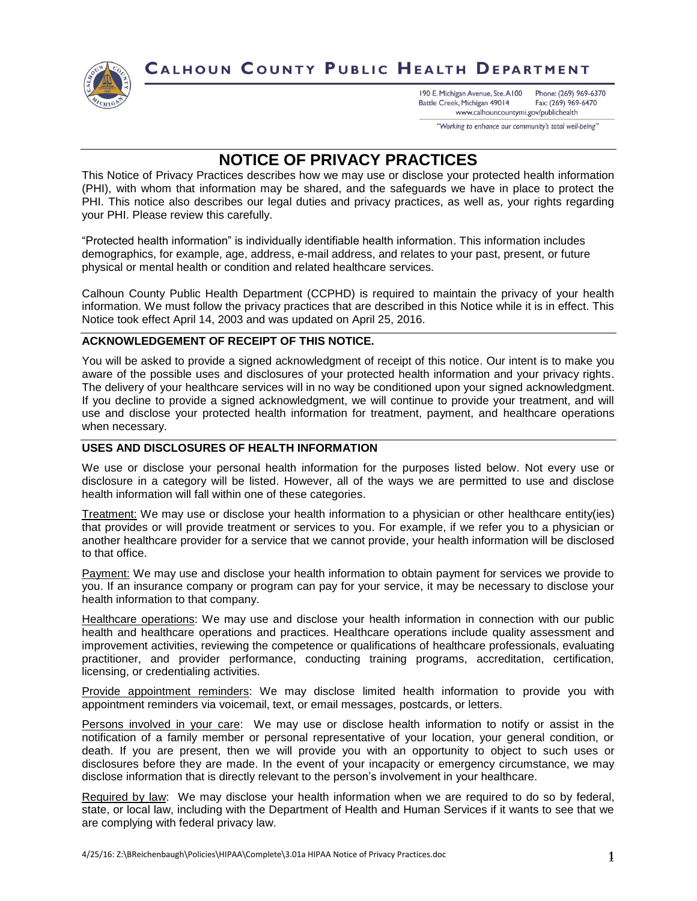

# CALHOUN COUNTY PUBLIC HEALTH DEPARTMENT

190 E. Michigan Avenue, Ste. A100 Phone: (269) 969-6370 Battle Creek, Michigan 49014 Fax: (269) 969-6470 www.calhouncountymi.gov/publichealth

"Working to enhance our community's total well-being"

# **NOTICE OF PRIVACY PRACTICES**

This Notice of Privacy Practices describes how we may use or disclose your protected health information (PHI), with whom that information may be shared, and the safeguards we have in place to protect the PHI. This notice also describes our legal duties and privacy practices, as well as, your rights regarding your PHI. Please review this carefully.

"Protected health information" is individually identifiable health information. This information includes demographics, for example, age, address, e-mail address, and relates to your past, present, or future physical or mental health or condition and related healthcare services.

Calhoun County Public Health Department (CCPHD) is required to maintain the privacy of your health information. We must follow the privacy practices that are described in this Notice while it is in effect. This Notice took effect April 14, 2003 and was updated on April 25, 2016.

# **ACKNOWLEDGEMENT OF RECEIPT OF THIS NOTICE.**

You will be asked to provide a signed acknowledgment of receipt of this notice. Our intent is to make you aware of the possible uses and disclosures of your protected health information and your privacy rights. The delivery of your healthcare services will in no way be conditioned upon your signed acknowledgment. If you decline to provide a signed acknowledgment, we will continue to provide your treatment, and will use and disclose your protected health information for treatment, payment, and healthcare operations when necessary.

# **USES AND DISCLOSURES OF HEALTH INFORMATION**

We use or disclose your personal health information for the purposes listed below. Not every use or disclosure in a category will be listed. However, all of the ways we are permitted to use and disclose health information will fall within one of these categories.

Treatment: We may use or disclose your health information to a physician or other healthcare entity(ies) that provides or will provide treatment or services to you. For example, if we refer you to a physician or another healthcare provider for a service that we cannot provide, your health information will be disclosed to that office.

Payment: We may use and disclose your health information to obtain payment for services we provide to you. If an insurance company or program can pay for your service, it may be necessary to disclose your health information to that company.

Healthcare operations: We may use and disclose your health information in connection with our public health and healthcare operations and practices. Healthcare operations include quality assessment and improvement activities, reviewing the competence or qualifications of healthcare professionals, evaluating practitioner, and provider performance, conducting training programs, accreditation, certification, licensing, or credentialing activities.

Provide appointment reminders: We may disclose limited health information to provide you with appointment reminders via voicemail, text, or email messages, postcards, or letters.

Persons involved in your care: We may use or disclose health information to notify or assist in the notification of a family member or personal representative of your location, your general condition, or death. If you are present, then we will provide you with an opportunity to object to such uses or disclosures before they are made. In the event of your incapacity or emergency circumstance, we may disclose information that is directly relevant to the person's involvement in your healthcare.

Required by law: We may disclose your health information when we are required to do so by federal, state, or local law, including with the Department of Health and Human Services if it wants to see that we are complying with federal privacy law.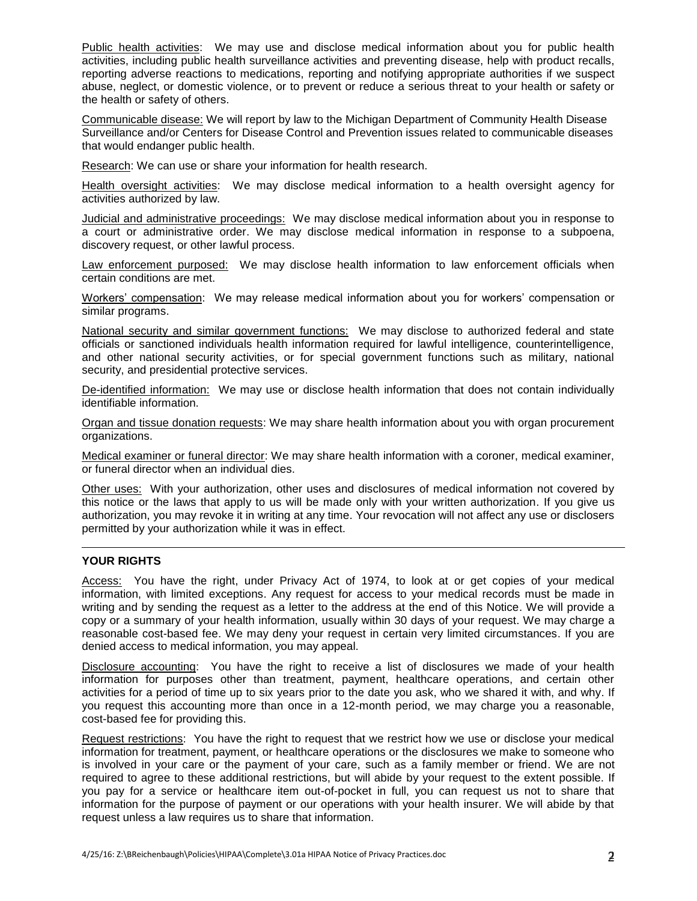Public health activities: We may use and disclose medical information about you for public health activities, including public health surveillance activities and preventing disease, help with product recalls, reporting adverse reactions to medications, reporting and notifying appropriate authorities if we suspect abuse, neglect, or domestic violence, or to prevent or reduce a serious threat to your health or safety or the health or safety of others.

Communicable disease: We will report by law to the Michigan Department of Community Health Disease Surveillance and/or Centers for Disease Control and Prevention issues related to communicable diseases that would endanger public health.

Research: We can use or share your information for health research.

Health oversight activities: We may disclose medical information to a health oversight agency for activities authorized by law.

Judicial and administrative proceedings: We may disclose medical information about you in response to a court or administrative order. We may disclose medical information in response to a subpoena, discovery request, or other lawful process.

Law enforcement purposed: We may disclose health information to law enforcement officials when certain conditions are met.

Workers' compensation: We may release medical information about you for workers' compensation or similar programs.

National security and similar government functions: We may disclose to authorized federal and state officials or sanctioned individuals health information required for lawful intelligence, counterintelligence, and other national security activities, or for special government functions such as military, national security, and presidential protective services.

De-identified information: We may use or disclose health information that does not contain individually identifiable information.

Organ and tissue donation requests: We may share health information about you with organ procurement organizations.

Medical examiner or funeral director: We may share health information with a coroner, medical examiner, or funeral director when an individual dies.

Other uses: With your authorization, other uses and disclosures of medical information not covered by this notice or the laws that apply to us will be made only with your written authorization. If you give us authorization, you may revoke it in writing at any time. Your revocation will not affect any use or disclosers permitted by your authorization while it was in effect.

#### **YOUR RIGHTS**

Access: You have the right, under Privacy Act of 1974, to look at or get copies of your medical information, with limited exceptions. Any request for access to your medical records must be made in writing and by sending the request as a letter to the address at the end of this Notice. We will provide a copy or a summary of your health information, usually within 30 days of your request. We may charge a reasonable cost-based fee. We may deny your request in certain very limited circumstances. If you are denied access to medical information, you may appeal.

Disclosure accounting: You have the right to receive a list of disclosures we made of your health information for purposes other than treatment, payment, healthcare operations, and certain other activities for a period of time up to six years prior to the date you ask, who we shared it with, and why. If you request this accounting more than once in a 12-month period, we may charge you a reasonable, cost-based fee for providing this.

Request restrictions: You have the right to request that we restrict how we use or disclose your medical information for treatment, payment, or healthcare operations or the disclosures we make to someone who is involved in your care or the payment of your care, such as a family member or friend. We are not required to agree to these additional restrictions, but will abide by your request to the extent possible. If you pay for a service or healthcare item out-of-pocket in full, you can request us not to share that information for the purpose of payment or our operations with your health insurer. We will abide by that request unless a law requires us to share that information.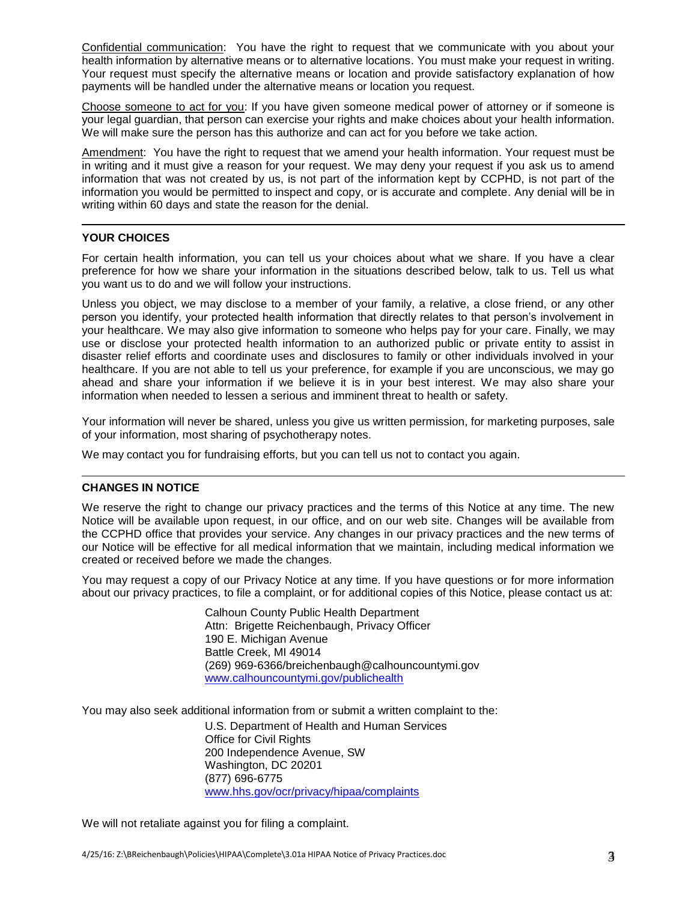Confidential communication: You have the right to request that we communicate with you about your health information by alternative means or to alternative locations. You must make your request in writing. Your request must specify the alternative means or location and provide satisfactory explanation of how payments will be handled under the alternative means or location you request.

Choose someone to act for you: If you have given someone medical power of attorney or if someone is your legal guardian, that person can exercise your rights and make choices about your health information. We will make sure the person has this authorize and can act for you before we take action.

Amendment: You have the right to request that we amend your health information. Your request must be in writing and it must give a reason for your request. We may deny your request if you ask us to amend information that was not created by us, is not part of the information kept by CCPHD, is not part of the information you would be permitted to inspect and copy, or is accurate and complete. Any denial will be in writing within 60 days and state the reason for the denial.

## **YOUR CHOICES**

For certain health information, you can tell us your choices about what we share. If you have a clear preference for how we share your information in the situations described below, talk to us. Tell us what you want us to do and we will follow your instructions.

Unless you object, we may disclose to a member of your family, a relative, a close friend, or any other person you identify, your protected health information that directly relates to that person's involvement in your healthcare. We may also give information to someone who helps pay for your care. Finally, we may use or disclose your protected health information to an authorized public or private entity to assist in disaster relief efforts and coordinate uses and disclosures to family or other individuals involved in your healthcare. If you are not able to tell us your preference, for example if you are unconscious, we may go ahead and share your information if we believe it is in your best interest. We may also share your information when needed to lessen a serious and imminent threat to health or safety.

Your information will never be shared, unless you give us written permission, for marketing purposes, sale of your information, most sharing of psychotherapy notes.

We may contact you for fundraising efforts, but you can tell us not to contact you again.

# **CHANGES IN NOTICE**

We reserve the right to change our privacy practices and the terms of this Notice at any time. The new Notice will be available upon request, in our office, and on our web site. Changes will be available from the CCPHD office that provides your service. Any changes in our privacy practices and the new terms of our Notice will be effective for all medical information that we maintain, including medical information we created or received before we made the changes.

You may request a copy of our Privacy Notice at any time. If you have questions or for more information about our privacy practices, to file a complaint, or for additional copies of this Notice, please contact us at:

> Calhoun County Public Health Department Attn: Brigette Reichenbaugh, Privacy Officer 190 E. Michigan Avenue Battle Creek, MI 49014 (269) 969-6366/breichenbaugh@calhouncountymi.gov [www.calhouncountymi.gov/publichealth](http://www.calhouncountymi.gov/publichealth)

You may also seek additional information from or submit a written complaint to the:

U.S. Department of Health and Human Services Office for Civil Rights 200 Independence Avenue, SW Washington, DC 20201 (877) 696-6775 [www.hhs.gov/ocr/privacy/hipaa/complaints](http://www.hhs.gov/ocr/privacy/hipaa/complaints)

We will not retaliate against you for filing a complaint.